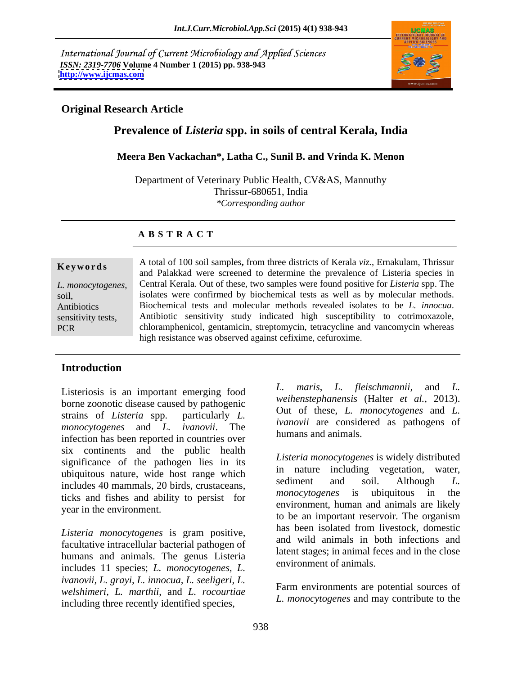International Journal of Current Microbiology and Applied Sciences *ISSN: 2319-7706* **Volume 4 Number 1 (2015) pp. 938-943 <http://www.ijcmas.com>**



# **Original Research Article**

# **Prevalence of** *Listeria* **spp. in soils of central Kerala, India**

### **Meera Ben Vackachan\*, Latha C., Sunil B. and Vrinda K. Menon**

Department of Veterinary Public Health, CV&AS, Mannuthy Thrissur-680651, India *\*Corresponding author* 

### **A B S T R A C T**

**Keywords** A total of 100 soil samples, from three districts of Kerala *viz.*, Ernakulam, Thrissur *L. monocytogenes,*  Central Kerala. Out of these, two samples were found positive for *Listeria* spp. The soil, isolates were confirmed by biochemical tests as well as by molecular methods. Antibiotics Biochemical tests and molecular methods revealed isolates to be *L. innocua*. Antibiotics Biochemical tests and molecular methods revealed isolates to be *L. innocua*.<br>
Sensitivity tests, Antibiotic sensitivity study indicated high susceptibility to cotrimoxazole, PCR chloramphenicol, gentamicin, streptomycin, tetracycline and vancomycin whereas and Palakkad were screened to determine the prevalence of Listeria species in high resistance was observed against cefixime, cefuroxime.

# **Introduction**

borne zoonotic disease caused by pathogenic strains of *Listeria* spp. particularly *L*. Out of these, *L. monocylogenes* and *L. monocytogenes* and *L. ivanovii*. The infection has been reported in countries over six continents and the public health significance of the pathogen lies in its ubiquitous nature, wide host range which  $\frac{m}{\text{radum}}$  hautie including vegetation, water,  $\frac{m}{\text{radum}}$ includes 40 mammals, 20 birds, crustaceans,<br>tights and fighter and phility to general for *monocytogenes* is ubiquitous in the ticks and fishes and ability to persist for year in the environment.

*Listeria monocytogenes* is gram positive, facultative intracellular bacterial pathogen of humans and animals. The genus Listeria includes 11 species; *L. monocytogenes, L. ivanovii, L. grayi, L. innocua, L. seeligeri, L. welshimeri, L. marthii,* and *L. rocourtiae* **including three recently identified species,** *L. monocytogenes* and may contribute to the

Listeriosis is an important emerging food  $L$  maris,  $L$  fleischmannii, and  $L$ . *maris, L. fleischmannii, weihenstephanensis* (Halter *et al.,* 2013). Out of these, *L. monocytogenes* and *L. ivanovii* are considered as pathogens of humans and animals.

> *Listeria monocytogenes* is widely distributed in nature including vegetation, water, sediment and soil. Although *L. monocytogenes* is ubiquitous in the environment, human and animals are likely to be an important reservoir. The organism has been isolated from livestock, domestic and wild animals in both infections and latent stages; in animal feces and in the close environment of animals.

Farm environments are potential sources of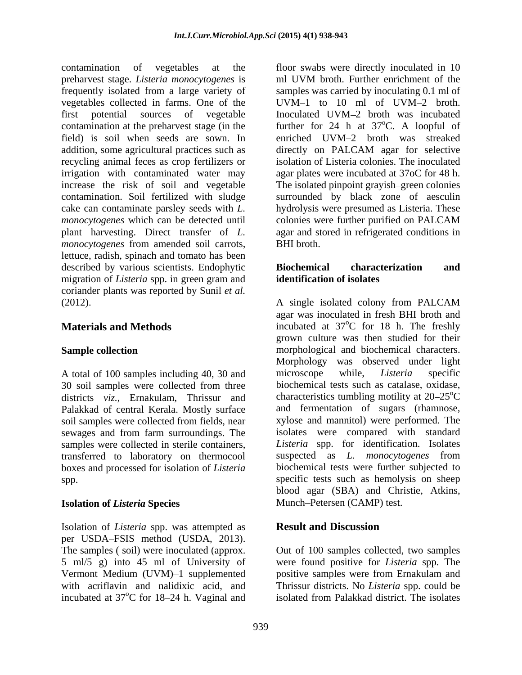contamination of vegetables at the floorswabs were directly inoculated in 10 preharvest stage. *Listeria monocytogenes* is frequently isolated from a large variety of vegetables collected in farms. One of the UVM-1 to 10 ml of UVM-2 broth. first potential sources of vegetable Inoculated UVM-2 broth was incubated contamination at the preharvest stage (in the further for  $24$  h at  $37^{\circ}$ C. A loopful of field) is soil when seeds are sown. In addition, some agricultural practices such as directly on PALCAM agar for selective recycling animal feces as crop fertilizers or irrigation with contaminated water may increase the risk of soil and vegetable The isolated pinpoint grayish–green colonies contamination. Soil fertilized with sludge surrounded by black zone of aesculin cake can contaminate parsley seeds with *L.*  hydrolysis were presumed as Listeria. These *monocytogenes* which can be detected until colonies were further purified on PALCAM plant harvesting. Direct transfer of *L.*  agar and stored in refrigerated conditions in *monocytogenes* from amended soil carrots, lettuce, radish, spinach and tomato has been described by various scientists. Endophytic **Biochemical characterization** and migration of *Listeria* spp. in green gram and coriander plants was reported by Sunil *et al.* (2012). A single isolated colony from PALCAM

30 soil samples were collected from three districts *viz.*, Ernakulam, Thrissur and Palakkad of central Kerala. Mostly surface soil samples were collected from fields, near sewages and from farm surroundings. The samples were collected in sterile containers, transferred to laboratory on thermocool boxes and processed for isolation of *Listeria* 

# **Isolation of** *Listeria* **Species**

Isolation of *Listeria* spp. was attempted as per USDA-FSIS method (USDA, 2013). The samples ( soil) were inoculated (approx. Out of 100 samples collected, two samples 5 ml/5 g) into 45 ml of University of were found positive for *Listeria* spp. The Vermont Medium (UVM)–1 supplemented positive samples were from Ernakulam and with acriflavin and nalidixic acid, and Thrissur districts. No *Listeria* spp. could be incubated at 37<sup>o</sup>C for 18–24 h. Vaginal and

ml UVM broth. Further enrichment of the samples was carried by inoculating 0.1 ml of UVM $-1$  to 10 ml of UVM $-2$  broth. Inoculated UVM-2 broth was incubated <sup>o</sup>C. A loopful of enriched UVM-2 broth was streaked directly on PALCAM agar for selective isolation of Listeria colonies. The inoculated agar plates were incubated at 37oC for 48 h. colonies were further purified on PALCAM BHI broth.

# **Biochemical characterization and identification of isolates**

**Materials and Methods incubated** at 37<sup>o</sup>C for 18 h. The freshly Sample collection **Sample collection morphological** and biochemical characters. A total of 100 samples including 40, 30 and microscope while, *Listeria* specific spp. specific tests such as hemolysis on sheep A single isolated colony from PALCAM agar was inoculated in fresh BHI broth and  $^{\circ}$ C for 18 h. The freshly grown culture was then studied for their Morphology was observed under light microscope while, *Listeria* specific biochemical tests such as catalase, oxidase, characteristics tumbling motility at  $20-25^{\circ}$ C and fermentation of sugars (rhamnose, xylose and mannitol) were performed. The isolates were compared with standard *Listeria* spp. for identification. Isolates suspected as *L. monocytogenes* from biochemical tests were further subjected to blood agar (SBA) and Christie, Atkins, Munch-Petersen (CAMP) test.

# **Result and Discussion**

isolated from Palakkad district. The isolates isolated from Palakkad district. The isolates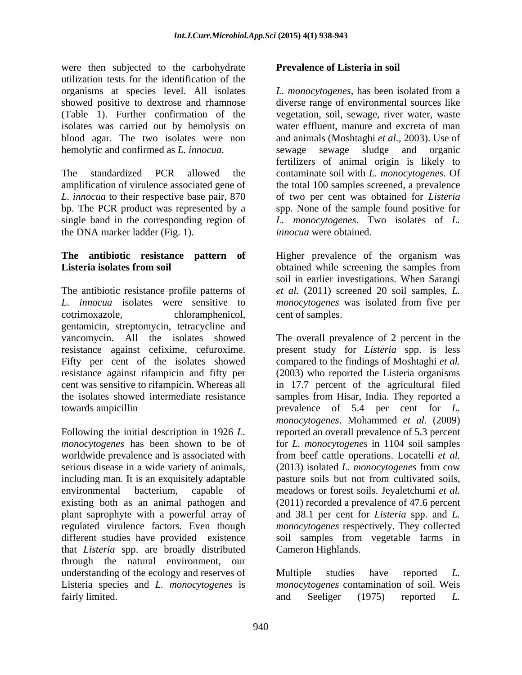were then subjected to the carbohydrate utilization tests for the identification of the organisms at species level. All isolates L. monocytogenes, has been isolated from a isolates was carried out by hemolysis on hemolytic and confirmed as *L. innocua*.

amplification of virulence associated gene of the total 100 samples screened, a prevalence *L. innocua* to their respective base pair, 870 of two per cent was obtained for *Listeria* bp. The PCR product was represented by a spp. None of the sample found positive for single band in the corresponding region of *L. monocytogenes*. Two isolates of *L.* the DNA marker ladder (Fig. 1).

The antibiotic resistance profile patterns of *et al.* (2011) screened 20 soil samples, *L. L. innocua* isolates were sensitive to *monocytogenes* was isolated from five per cotrimoxazole, chloramphenicol, gentamicin, streptomycin, tetracycline and

worldwide prevalence and is associated with that *Listeria* spp. are broadly distributed through the natural environment, our understanding of the ecology and reserves of Multiple studies have reported L. Listeria species and *L. monocytogenes* is

# **Prevalence of Listeria in soil**

showed positive to dextrose and rhamnose diverse range of environmental sources like (Table 1). Further confirmation of the vegetation, soil, sewage, river water, waste blood agar. The two isolates were non and animals (Moshtaghi *et al.,* 2003). Use of fertilizers of animal origin is likely to<br>The standardized PCR allowed the contaminate soil with *L. monocytogenes*. Of *L. monocytogenes*, has been isolated from a water effluent, manure and excreta of man sewage sludge and organic fertilizers of animal origin is likely to contaminate soil with *L. monocytogenes*. Of *innocua* were obtained.

**The antibiotic resistance pattern of** Higher prevalence of the organism was **Listeria isolates from soil** obtained while screening the samples from soil in earlier investigations. When Sarangi cent of samples.

vancomycin. All the isolates showed The overall prevalence of 2 percent in the resistance against cefixime, cefuroxime. present study for *Listeria* spp. is less Fifty per cent of the isolates showed compared to the findings of Moshtaghi *et al.* resistance against rifampicin and fifty per (2003) who reported the Listeria organisms cent was sensitive to rifampicin. Whereas all in 17.7 percent of the agricultural filed the isolates showed intermediate resistance samples from Hisar, India. They reported a towards ampicillin prevalence of 5.4 per cent for *L.* Following the initial description in 1926 *L*. reported an overall prevalence of 5.3 percent *monocytogenes* has been shown to be of for *L. monocytogenes* in 1104 soil samples serious disease in a wide variety of animals, (2013) isolated *L. monocytogenes* from cow including man. It is an exquisitely adaptable pasture soils but not from cultivated soils, environmental bacterium, capable of meadows or forest soils. Jeyaletchumi *et al.* existing both as an animal pathogen and (2011) recorded a prevalence of 47.6 percent plant saprophyte with a powerful array of and 38.1 per cent for *Listeria* spp. and *L.* regulated virulence factors. Even though *monocytogenes* respectively. They collected different studies have provided existence soil samples from vegetable farms in *monocytogenes*. Mohammed *et al.* (2009) from beef cattle operations. Locatelli *et al.* Cameron Highlands.

fairly limited. The contract of the same security and Seeliger (1975) reported L. Multiple studies have reported *L. monocytogenes* contamination of soil. Weis and Seeliger (1975) reported *L.*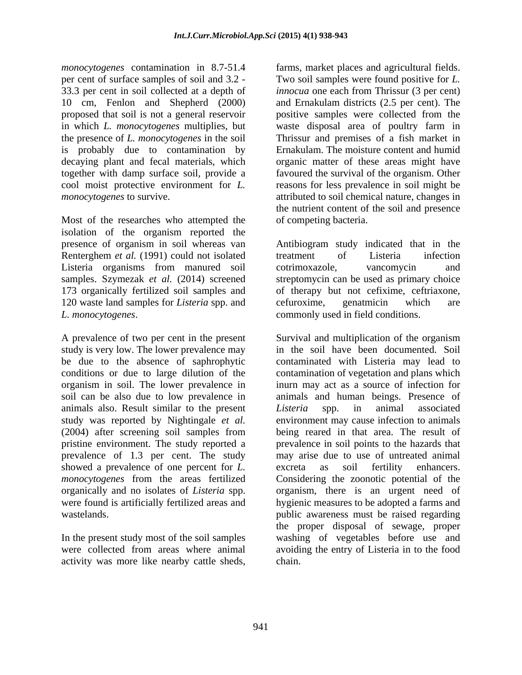is probably due to contamination by

Most of the researches who attempted the isolation of the organism reported the Renterghem *et al.* (1991) could not isolated treatment of Listeria infection Listeria organisms from manured soil 120 waste land samples for *Listeria* spp. and

study is very low. The lower prevalence may animals also. Result similar to the present Listeria spp. in animal associated showed a prevalence of one percent for *L*. excreta as soil fertility enhancers.

activity was more like nearby cattle sheds,

*monocytogenes* contamination in 8.7-51.4 farms, market places and agricultural fields. per cent of surface samples of soil and 3.2 - Two soil samples were found positive for *L.*  33.3 per cent in soil collected at a depth of *innocua* one each from Thrissur (3 per cent) 10 cm, Fenlon and Shepherd (2000) and Ernakulam districts (2.5 per cent). The proposed that soil is not a general reservoir positive samples were collected from the in which *L. monocytogenes* multiplies, but waste disposal area of poultry farm in the presence of *L. monocytogenes* in the soil Thrissur and premises of a fish market in decaying plant and fecal materials, which organic matter of these areas might have together with damp surface soil, provide a favoured the survival of the organism. Other cool moist protective environment for *L.* reasons for less prevalence in soil might be *monocytogenes* to survive. The same stributed to soil chemical nature, changes in Ernakulam. The moisture content and humid the nutrient content of the soil and presence of competing bacteria.

presence of organism in soil whereas van Antibiogram study indicated that in the samples. Szymezak *et al.* (2014) screened streptomycin can be used as primary choice 173 organically fertilized soil samples and of therapy but not cefixime, ceftriaxone, *L. monocytogenes*. commonly used in field conditions. treatment of Listeria infection cotrimoxazole, vancomycin and cefuroxime, genatmicin which are

A prevalence of two per cent in the present Survival and multiplication of the organism be due to the absence of saphrophytic contaminated with Listeria may lead to conditions or due to large dilution of the contamination of vegetation and plans which organism in soil. The lower prevalence in inurn may act as a source of infection for soil can be also due to low prevalence in animals and human beings. Presence of study was reported by Nightingale *et al.* environment may cause infection to animals (2004) after screening soil samples from being reared in that area. The result of pristine environment. The study reported a prevalence in soil points to the hazards that prevalence of 1.3 per cent. The study may arise due to use of untreated animal *monocytogenes* from the areas fertilized Considering the zoonotic potential of the organically and no isolates of *Listeria* spp. organism, there is an urgent need of were found is artificially fertilized areas and hygienic measures to be adopted a farms and wastelands. public awareness must be raised regarding In the present study most of the soil samples washing of vegetables before use and were collected from areas where animal avoiding the entry of Listeria in to the food in the soil have been documented. Soil *Listeria* spp. in animal associated excreta as soil fertility enhancers. the proper disposal of sewage, proper chain.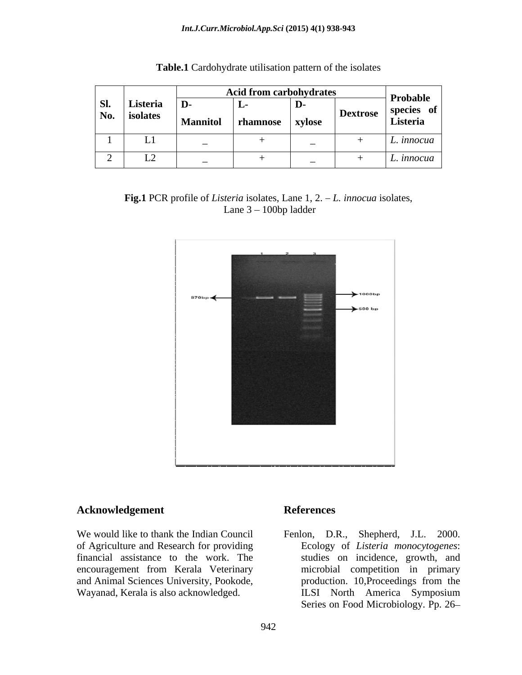### *Int.J.Curr.Microbiol.App.Sci* **(2015) 4(1) 938-943**

|     |          |                 | <b>Acid from carbohydrates</b> |               |          | Probable   |
|-----|----------|-----------------|--------------------------------|---------------|----------|------------|
| Sl. | Listeria | D-              | ுட                             | D-            |          | species of |
| No. | isolates | <b>Mannitol</b> | rhamnose                       | <b>xylose</b> | Dextrose | Listeria   |
|     | LI       |                 |                                |               |          | L. innocua |
|     | ⊷        |                 |                                |               |          | L. innocua |

|  | Table.<br>$  -$<br>$\sim$<br>n of the isolates<br>Cardohydrate utilisation pattern |  |
|--|------------------------------------------------------------------------------------|--|
|--|------------------------------------------------------------------------------------|--|

**Fig.1** PCR profile of *Listeria* isolates, Lane 1, 2. *L. innocua* isolates, Lane  $3 - 100$ bp ladder



# **Acknowledgement**

We would like to thank the Indian Council Fenlon, D.R., Shepherd, J.L. 2000. of Agriculture and Research for providing financial assistance to the work. The and Animal Sciences University, Pookode,

### **References**

encouragement from Kerala Veterinary<br>and Animal Sciences University, Pookode,<br>production. 10, Proceedings from the Wayanad, Kerala is also acknowledged. Ecology of *Listeria monocytogenes*: studies on incidence, growth, and microbial competition in primary production. 10,Proceedings from the ILSI North America Symposium Series on Food Microbiology. Pp. 26